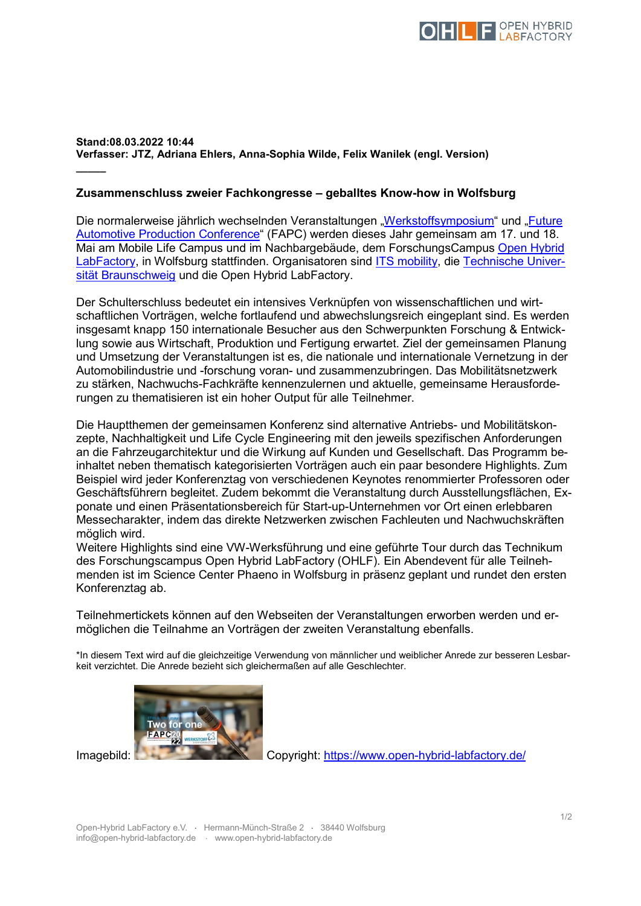

## **Stand:08.03.2022 10:44 Verfasser: JTZ, Adriana Ehlers, Anna-Sophia Wilde, Felix Wanilek (engl. Version)**

## **Zusammenschluss zweier Fachkongresse – geballtes Know-how in Wolfsburg**

Die normalerweise jährlich wechselnden Veranstaltungen ["Werkstoffsymposium"](https://werkstoff-symposium.de/) und "Future [Automotive Production Conference"](https://www.future-automotive-production-conference.com/) (FAPC) werden dieses Jahr gemeinsam am 17. und 18. Mai am Mobile Life Campus und im Nachbargebäude, dem ForschungsCampus [Open Hybrid](https://open-hybrid-labfactory.de/)  [LabFactory,](https://open-hybrid-labfactory.de/) in Wolfsburg stattfinden. Organisatoren sind [ITS mobility,](https://its-mobility.de/) die [Technische Univer](https://www.tu-braunschweig.de/)[sität Braunschweig](https://www.tu-braunschweig.de/) und die Open Hybrid LabFactory.

Der Schulterschluss bedeutet ein intensives Verknüpfen von wissenschaftlichen und wirtschaftlichen Vorträgen, welche fortlaufend und abwechslungsreich eingeplant sind. Es werden insgesamt knapp 150 internationale Besucher aus den Schwerpunkten Forschung & Entwicklung sowie aus Wirtschaft, Produktion und Fertigung erwartet. Ziel der gemeinsamen Planung und Umsetzung der Veranstaltungen ist es, die nationale und internationale Vernetzung in der Automobilindustrie und -forschung voran- und zusammenzubringen. Das Mobilitätsnetzwerk zu stärken, Nachwuchs-Fachkräfte kennenzulernen und aktuelle, gemeinsame Herausforderungen zu thematisieren ist ein hoher Output für alle Teilnehmer.

Die Hauptthemen der gemeinsamen Konferenz sind alternative Antriebs- und Mobilitätskonzepte, Nachhaltigkeit und Life Cycle Engineering mit den jeweils spezifischen Anforderungen an die Fahrzeugarchitektur und die Wirkung auf Kunden und Gesellschaft. Das Programm beinhaltet neben thematisch kategorisierten Vorträgen auch ein paar besondere Highlights. Zum Beispiel wird jeder Konferenztag von verschiedenen Keynotes renommierter Professoren oder Geschäftsführern begleitet. Zudem bekommt die Veranstaltung durch Ausstellungsflächen, Exponate und einen Präsentationsbereich für Start-up-Unternehmen vor Ort einen erlebbaren Messecharakter, indem das direkte Netzwerken zwischen Fachleuten und Nachwuchskräften möglich wird.

Weitere Highlights sind eine VW-Werksführung und eine geführte Tour durch das Technikum des Forschungscampus Open Hybrid LabFactory (OHLF). Ein Abendevent für alle Teilnehmenden ist im Science Center Phaeno in Wolfsburg in präsenz geplant und rundet den ersten Konferenztag ab.

Teilnehmertickets können auf den Webseiten der Veranstaltungen erworben werden und ermöglichen die Teilnahme an Vorträgen der zweiten Veranstaltung ebenfalls.

\*In diesem Text wird auf die gleichzeitige Verwendung von männlicher und weiblicher Anrede zur besseren Lesbarkeit verzichtet. Die Anrede bezieht sich gleichermaßen auf alle Geschlechter.



**\_\_\_\_\_**

Imagebild: Copyright:<https://www.open-hybrid-labfactory.de/>